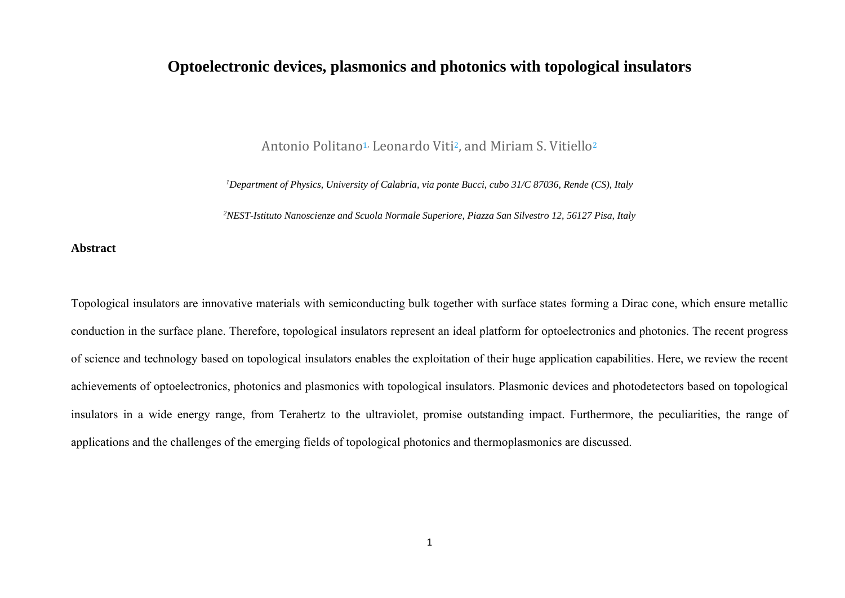# **Optoelectronic devices, plasmonics and photonics with topological insulators**

Antonio Politano<sup>1,</sup> Leonardo Viti<sup>2</sup>, and Miriam S. Vitiello<sup>2</sup>

*1Department of Physics, University of Calabria, via ponte Bucci, cubo 31/C 87036, Rende (CS), Italy* 

*2NEST-Istituto Nanoscienze and Scuola Normale Superiore, Piazza San Silvestro 12, 56127 Pisa, Italy* 

**Abstract** 

Topological insulators are innovative materials with semiconducting bulk together with surface states forming a Dirac cone, which ensure metallic conduction in the surface plane. Therefore, topological insulators represent an ideal platform for optoelectronics and photonics. The recent progress of science and technology based on topological insulators enables the exploitation of their huge application capabilities. Here, we review the recent achievements of optoelectronics, photonics and plasmonics with topological insulators. Plasmonic devices and photodetectors based on topological insulators in a wide energy range, from Terahertz to the ultraviolet, promise outstanding impact. Furthermore, the peculiarities, the range of applications and the challenges of the emerging fields of topological photonics and thermoplasmonics are discussed.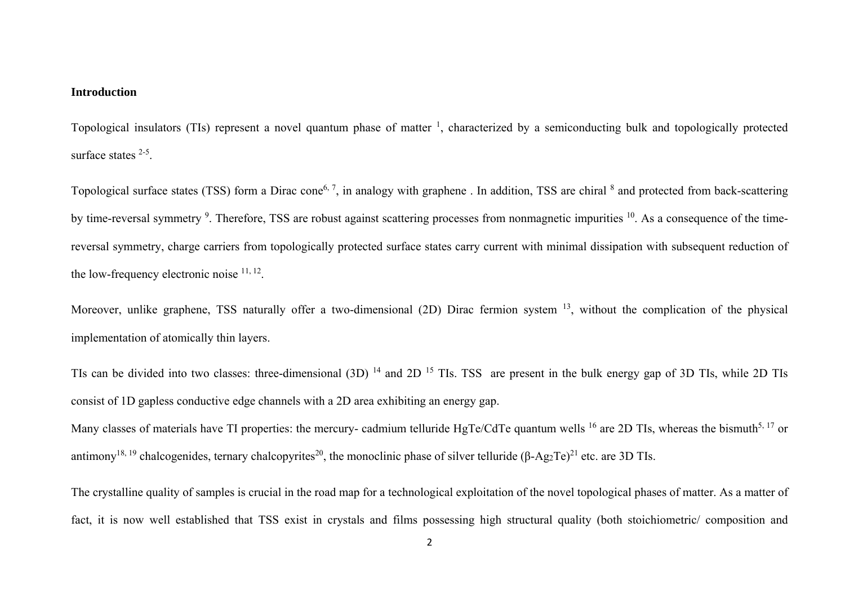#### **Introduction**

Topological insulators (TIs) represent a novel quantum phase of matter  $\frac{1}{2}$ , characterized by a semiconducting bulk and topologically protected surface states <sup>2-5</sup>.

Topological surface states (TSS) form a Dirac cone<sup>6, 7</sup>, in analogy with graphene. In addition, TSS are chiral <sup>8</sup> and protected from back-scattering by time-reversal symmetry <sup>9</sup>. Therefore, TSS are robust against scattering processes from nonmagnetic impurities <sup>10</sup>. As a consequence of the timereversal symmetry, charge carriers from topologically protected surface states carry current with minimal dissipation with subsequent reduction of the low-frequency electronic noise  $11, 12$ .

Moreover, unlike graphene, TSS naturally offer a two-dimensional (2D) Dirac fermion system <sup>13</sup>, without the complication of the physical implementation of atomically thin layers.

TIs can be divided into two classes: three-dimensional (3D)<sup>14</sup> and 2D<sup>15</sup> TIs. TSS are present in the bulk energy gap of 3D TIs, while 2D TIs consist of 1D gapless conductive edge channels with a 2D area exhibiting an energy gap.

Many classes of materials have TI properties: the mercury- cadmium telluride HgTe/CdTe quantum wells <sup>16</sup> are 2D TIs, whereas the bismuth<sup>5, 17</sup> or antimony<sup>18, 19</sup> chalcogenides, ternary chalcopyrites<sup>20</sup>, the monoclinic phase of silver telluride (β-Ag<sub>2</sub>Te)<sup>21</sup> etc. are 3D TIs.

The crystalline quality of samples is crucial in the road map for a technological exploitation of the novel topological phases of matter. As a matter of fact, it is now well established that TSS exist in crystals and films possessing high structural quality (both stoichiometric/ composition and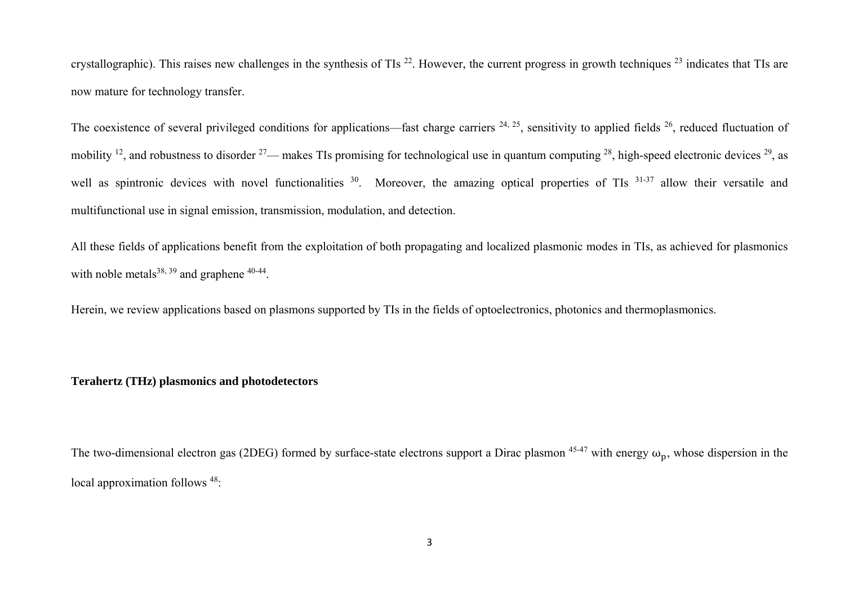crystallographic). This raises new challenges in the synthesis of TIs  $^{22}$ . However, the current progress in growth techniques  $^{23}$  indicates that TIs are now mature for technology transfer.

The coexistence of several privileged conditions for applications—fast charge carriers  $^{24, 25}$ , sensitivity to applied fields  $^{26}$ , reduced fluctuation of mobility <sup>12</sup>, and robustness to disorder <sup>27</sup>— makes TIs promising for technological use in quantum computing <sup>28</sup>, high-speed electronic devices <sup>29</sup>, as well as spintronic devices with novel functionalities <sup>30</sup>. Moreover, the amazing optical properties of TIs <sup>31-37</sup> allow their versatile and multifunctional use in signal emission, transmission, modulation, and detection.

All these fields of applications benefit from the exploitation of both propagating and localized plasmonic modes in TIs, as achieved for plasmonics with noble metals $38, 39$  and graphene  $40-44$ .

Herein, we review applications based on plasmons supported by TIs in the fields of optoelectronics, photonics and thermoplasmonics.

# **Terahertz (THz) plasmonics and photodetectors**

The two-dimensional electron gas (2DEG) formed by surface-state electrons support a Dirac plasmon  $45-47$  with energy  $\omega_{\rm D}$ , whose dispersion in the local approximation follows <sup>48</sup>: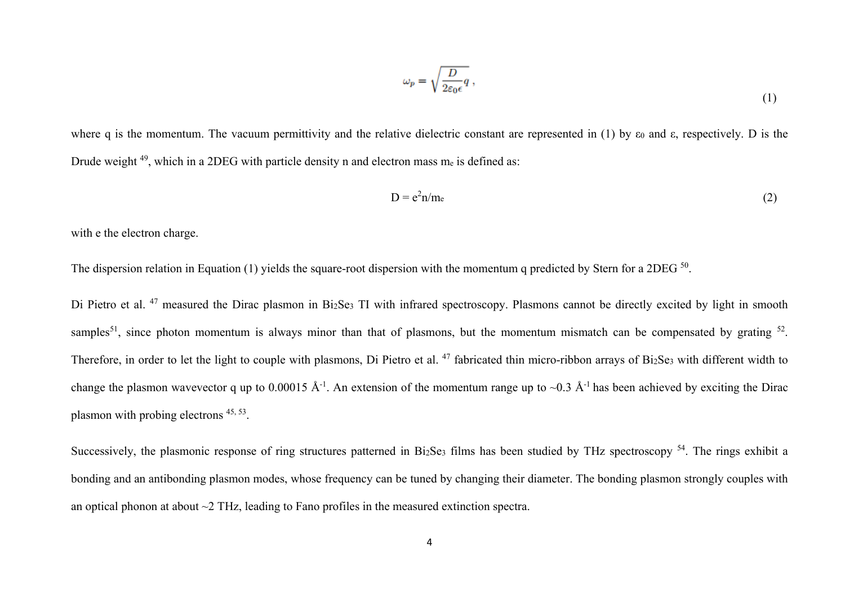$$
\omega_p = \sqrt{\frac{D}{2\varepsilon_0 \epsilon}} q \,,\tag{1}
$$

where q is the momentum. The vacuum permittivity and the relative dielectric constant are represented in (1) by  $\varepsilon_0$  and  $\varepsilon$ , respectively. D is the Drude weight <sup>49</sup>, which in a 2DEG with particle density n and electron mass m<sub>e</sub> is defined as:

$$
D = e^2 n/m_e \tag{2}
$$

with e the electron charge.

The dispersion relation in Equation (1) yields the square-root dispersion with the momentum q predicted by Stern for a 2DEG <sup>50</sup>.

Di Pietro et al.<sup>47</sup> measured the Dirac plasmon in Bi<sub>2</sub>Se<sub>3</sub> TI with infrared spectroscopy. Plasmons cannot be directly excited by light in smooth samples<sup>51</sup>, since photon momentum is always minor than that of plasmons, but the momentum mismatch can be compensated by grating  $52$ . Therefore, in order to let the light to couple with plasmons, Di Pietro et al. <sup>47</sup> fabricated thin micro-ribbon arrays of Bi2Se3 with different width to change the plasmon wavevector q up to 0.00015 Å<sup>-1</sup>. An extension of the momentum range up to ~0.3 Å<sup>-1</sup> has been achieved by exciting the Dirac <sup>p</sup>lasmon with probing electrons 45, 53.

Successively, the plasmonic response of ring structures patterned in Bi<sub>2</sub>Se<sub>3</sub> films has been studied by THz spectroscopy  $54$ . The rings exhibit a bonding and an antibonding plasmon modes, whose frequency can be tuned by changing their diameter. The bonding plasmon strongly couples with an optical phonon at about ~2 THz, leading to Fano profiles in the measured extinction spectra.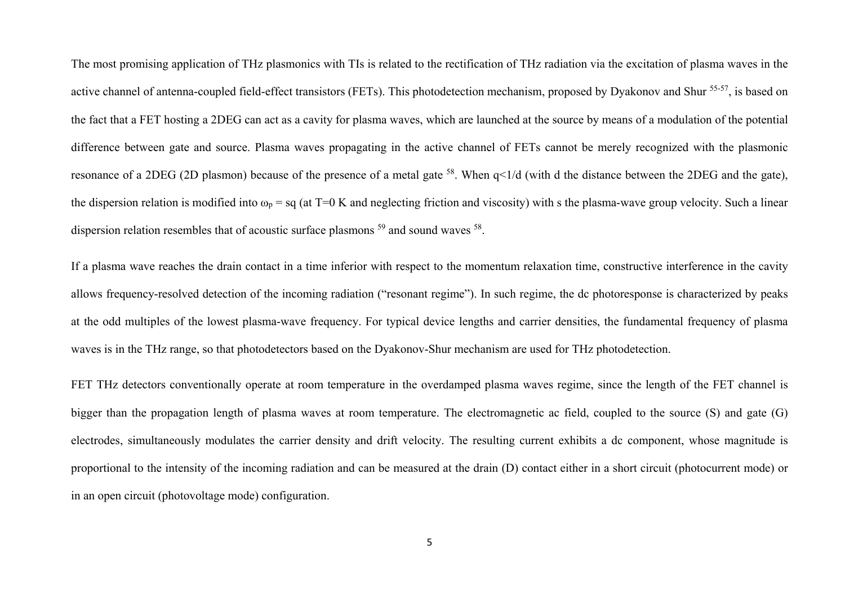The most promising application of THz plasmonics with TIs is related to the rectification of THz radiation via the excitation of plasma waves in the active channel of antenna-coupled field-effect transistors (FETs). This photodetection mechanism, proposed by Dyakonov and Shur <sup>55-57</sup>, is based on the fact that a FET hosting a 2DEG can act as a cavity for plasma waves, which are launched at the source by means of a modulation of the potential difference between gate and source. Plasma waves propagating in the active channel of FETs cannot be merely recognized with the plasmonic resonance of a 2DEG (2D plasmon) because of the presence of a metal gate 58. When q<1/d (with d the distance between the 2DEG and the gate), the dispersion relation is modified into  $\omega_p =$  sq (at T=0 K and neglecting friction and viscosity) with s the plasma-wave group velocity. Such a linear dispersion relation resembles that of acoustic surface plasmons <sup>59</sup> and sound waves <sup>58</sup>.

If a plasma wave reaches the drain contact in a time inferior with respect to the momentum relaxation time, constructive interference in the cavity allows frequency-resolved detection of the incoming radiation ("resonant regime"). In such regime, the dc photoresponse is characterized by peaks at the odd multiples of the lowest plasma-wave frequency. For typical device lengths and carrier densities, the fundamental frequency of plasma waves is in the THz range, so that photodetectors based on the Dyakonov-Shur mechanism are used for THz photodetection.

FET THz detectors conventionally operate at room temperature in the overdamped plasma waves regime, since the length of the FET channel is bigger than the propagation length of plasma waves at room temperature. The electromagnetic ac field, coupled to the source (S) and gate (G) electrodes, simultaneously modulates the carrier density and drift velocity. The resulting current exhibits a dc component, whose magnitude is proportional to the intensity of the incoming radiation and can be measured at the drain (D) contact either in a short circuit (photocurrent mode) or in an open circuit (photovoltage mode) configuration.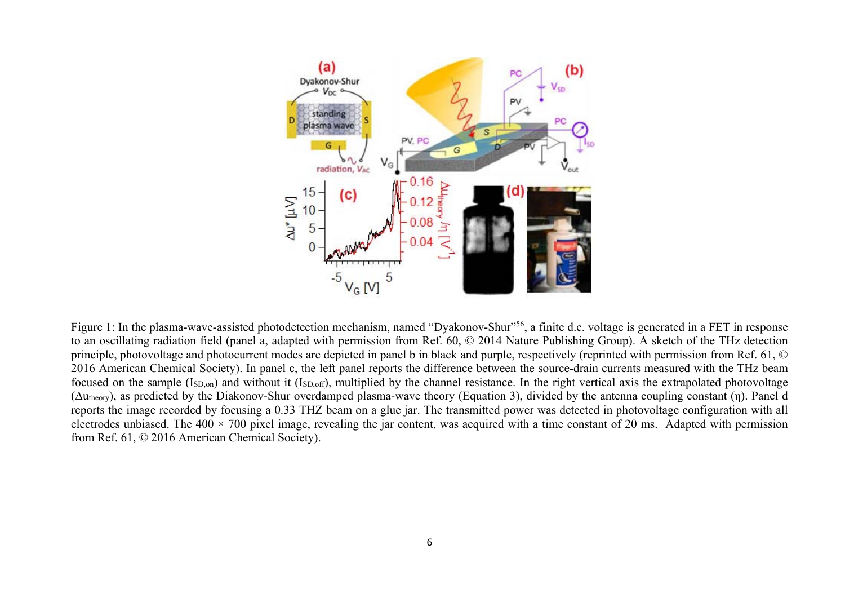

Figure 1: In the plasma-wave-assisted photodetection mechanism, named "Dyakonov-Shur"<sup>56</sup>, a finite d.c. voltage is generated in a FET in response to an oscillating radiation field (panel a, adapted with permission from Ref. 60, © 2014 Nature Publishing Group). A sketch of the THz detection principle, photovoltage and photocurrent modes are depicted in panel b in black and purple, respectively (reprinted with permission from Ref. 61, © 2016 American Chemical Society). In panel c, the left panel reports the difference between the source-drain currents measured with the THz beam focused on the sample (ISD,on) and without it (ISD,off), multiplied by the channel resistance. In the right vertical axis the extrapolated photovoltage (Δutheory), as predicted by the Diakonov-Shur overdamped plasma-wave theory (Equation 3), divided by the antenna coupling constant (η). Panel d reports the image recorded by focusing a 0.33 THZ beam on a glue jar. The transmitted power was detected in photovoltage configuration with all electrodes unbiased. The  $400 \times 700$  pixel image, revealing the jar content, was acquired with a time constant of 20 ms. Adapted with permission from Ref. 61, © 2016 American Chemical Society).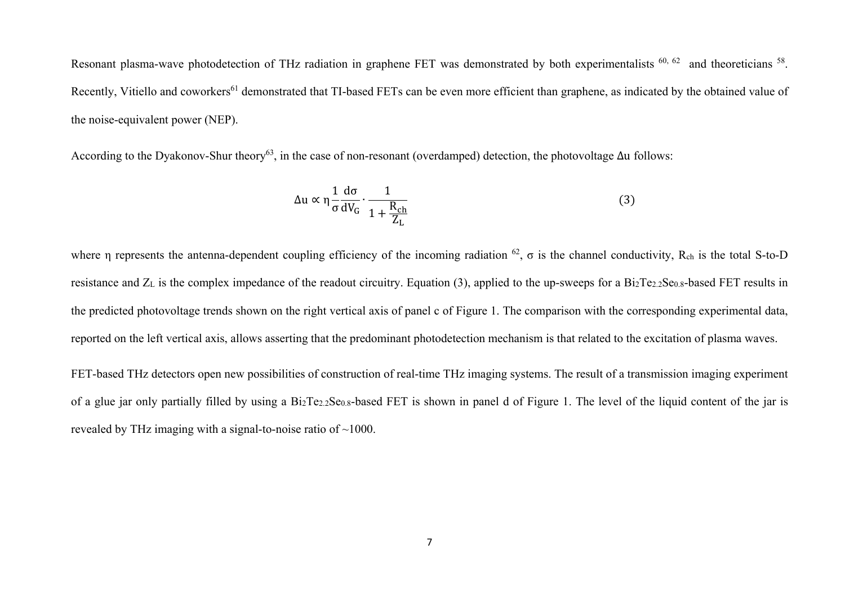Resonant plasma-wave photodetection of THz radiation in graphene FET was demonstrated by both experimentalists <sup>60, 62</sup> and theoreticians <sup>58</sup>. Recently, Vitiello and coworkers<sup>61</sup> demonstrated that TI-based FETs can be even more efficient than graphene, as indicated by the obtained value of the noise-equivalent power (NEP).

According to the Dyakonov-Shur theory<sup>63</sup>, in the case of non-resonant (overdamped) detection, the photovoltage  $\Delta u$  follows:

$$
\Delta u \propto \eta \frac{1}{\sigma} \frac{d\sigma}{dV_G} \cdot \frac{1}{1 + \frac{R_{ch}}{Z_L}}
$$
(3)

where η represents the antenna-dependent coupling efficiency of the incoming radiation  $^{62}$ ,  $\sigma$  is the channel conductivity, R<sub>ch</sub> is the total S-to-D resistance and Z<sub>L</sub> is the complex impedance of the readout circuitry. Equation (3), applied to the up-sweeps for a Bi<sub>2</sub>Te<sub>2.2</sub>Se<sub>0.8</sub>-based FET results in the predicted photovoltage trends shown on the right vertical axis of panel c of Figure 1. The comparison with the corresponding experimental data, reported on the left vertical axis, allows asserting that the predominant photodetection mechanism is that related to the excitation of plasma waves.

FET-based THz detectors open new possibilities of construction of real-time THz imaging systems. The result of a transmission imaging experiment of a glue jar only partially filled by using a Bi2Te2.2Se0.8-based FET is shown in panel d of Figure 1. The level of the liquid content of the jar is revealed by THz imaging with a signal-to-noise ratio of ~1000.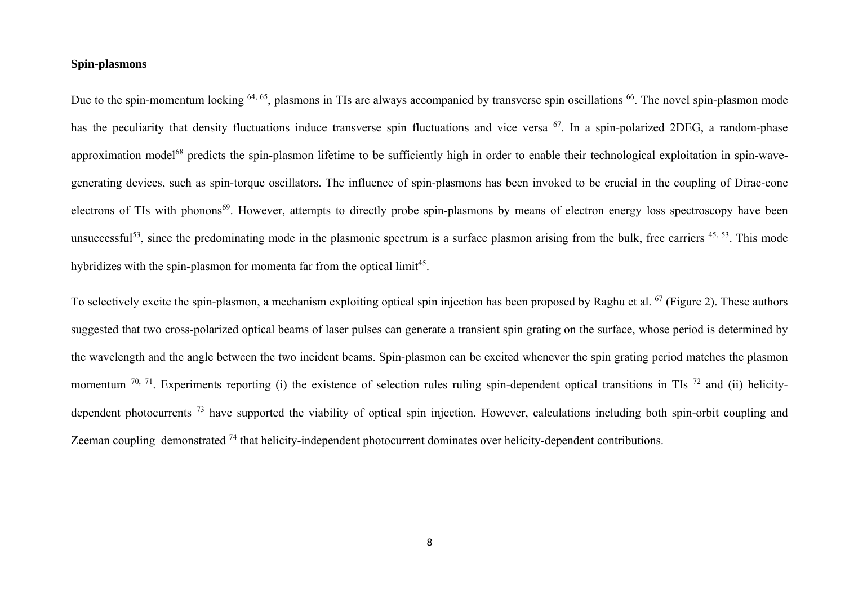#### **Spin-plasmons**

Due to the spin-momentum locking <sup>64, 65</sup>, plasmons in TIs are always accompanied by transverse spin oscillations <sup>66</sup>. The novel spin-plasmon mode has the peculiarity that density fluctuations induce transverse spin fluctuations and vice versa <sup>67</sup>. In a spin-polarized 2DEG, a random-phase approximation model<sup>68</sup> predicts the spin-plasmon lifetime to be sufficiently high in order to enable their technological exploitation in spin-wavegenerating devices, such as spin-torque oscillators. The influence of spin-plasmons has been invoked to be crucial in the coupling of Dirac-cone electrons of TIs with phonons<sup>69</sup>. However, attempts to directly probe spin-plasmons by means of electron energy loss spectroscopy have been unsuccessful<sup>53</sup>, since the predominating mode in the plasmonic spectrum is a surface plasmon arising from the bulk, free carriers  $45, 53$ . This mode hybridizes with the spin-plasmon for momenta far from the optical limit<sup>45</sup>.

To selectively excite the spin-plasmon, a mechanism exploiting optical spin injection has been proposed by Raghu et al. <sup>67</sup> (Figure 2). These authors suggested that two cross-polarized optical beams of laser pulses can generate a transient spin grating on the surface, whose period is determined by the wavelength and the angle between the two incident beams. Spin-plasmon can be excited whenever the spin grating period matches the plasmon momentum  $^{70, 71}$ . Experiments reporting (i) the existence of selection rules ruling spin-dependent optical transitions in TIs  $^{72}$  and (ii) helicitydependent photocurrents<sup>73</sup> have supported the viability of optical spin injection. However, calculations including both spin-orbit coupling and Zeeman coupling demonstrated <sup>74</sup> that helicity-independent photocurrent dominates over helicity-dependent contributions.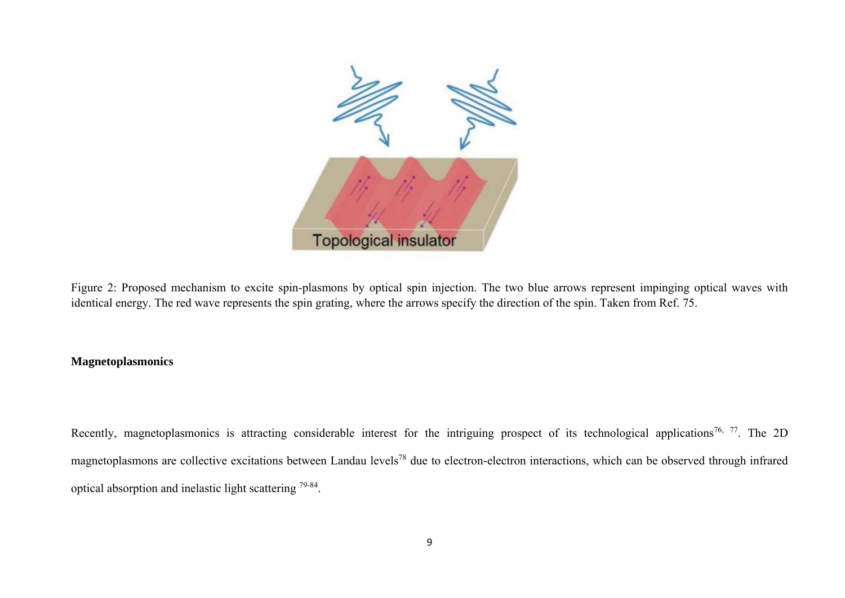

Figure 2: Proposed mechanism to excite spin-plasmons by optical spin injection. The two blue arrows represent impinging optical waves with identical energy. The red wave represents the spin grating, where the arrows specify the direction of the spin. Taken from Ref. 75.

## **Magnetoplasmonics**

Recently, magnetoplasmonics is attracting considerable interest for the intriguing prospect of its technological applications<sup>76, 77</sup>. The 2D magnetoplasmons are collective excitations between Landau levels<sup>78</sup> due to electron-electron interactions, which can be observed through infrared optical absorption and inelastic light scattering 79-84.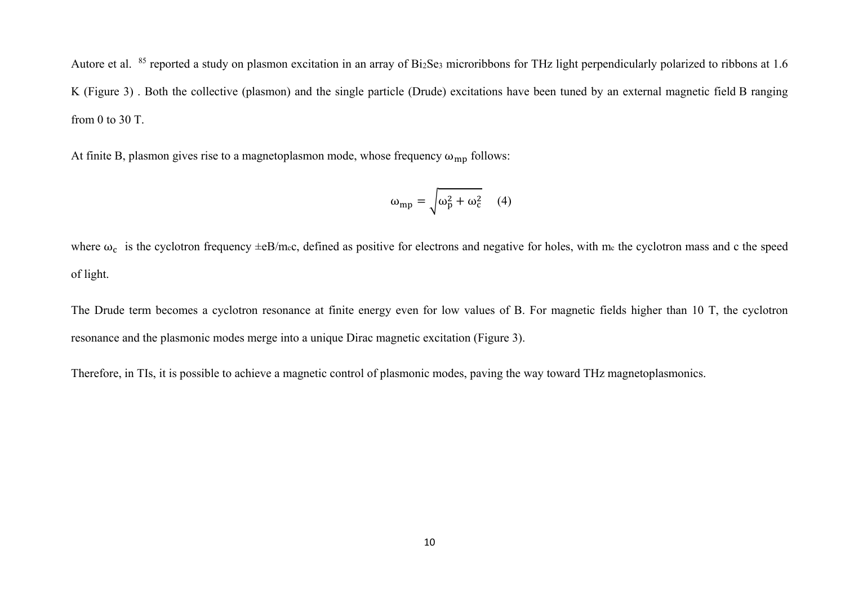Autore et al. <sup>85</sup> reported a study on plasmon excitation in an array of Bi<sub>2</sub>Se<sub>3</sub> microribbons for THz light perpendicularly polarized to ribbons at 1.6 K (Figure 3) . Both the collective (plasmon) and the single particle (Drude) excitations have been tuned by an external magnetic field B ranging from 0 to 30 T.

At finite B, plasmon gives rise to a magnetoplasmon mode, whose frequency  $\omega_{mn}$  follows:

$$
\omega_{mp} = \sqrt{\omega_p^2 + \omega_c^2} \quad (4)
$$

where  $\omega_c$  is the cyclotron frequency  $\pm eB/m_cc$ , defined as positive for electrons and negative for holes, with m<sub>c</sub> the cyclotron mass and c the speed of light.

The Drude term becomes a cyclotron resonance at finite energy even for low values of B. For magnetic fields higher than 10 T, the cyclotron resonance and the plasmonic modes merge into a unique Dirac magnetic excitation (Figure 3).

Therefore, in TIs, it is possible to achieve a magnetic control of plasmonic modes, paving the way toward THz magnetoplasmonics.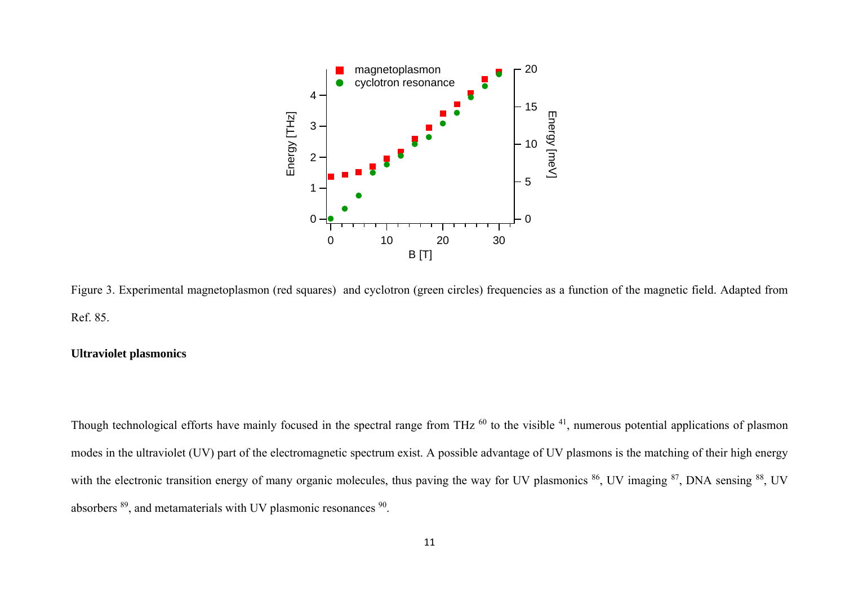

Figure 3. Experimental magnetoplasmon (red squares) and cyclotron (green circles) frequencies as a function of the magnetic field. Adapted from Ref. 85.

# **Ultraviolet plasmonics**

Though technological efforts have mainly focused in the spectral range from THz <sup>60</sup> to the visible <sup>41</sup>, numerous potential applications of plasmon modes in the ultraviolet (UV) part of the electromagnetic spectrum exist. A possible advantage of UV plasmons is the matching of their high energy with the electronic transition energy of many organic molecules, thus paving the way for UV plasmonics <sup>86</sup>, UV imaging <sup>87</sup>, DNA sensing <sup>88</sup>, UV absorbers 89, and metamaterials with UV plasmonic resonances 90.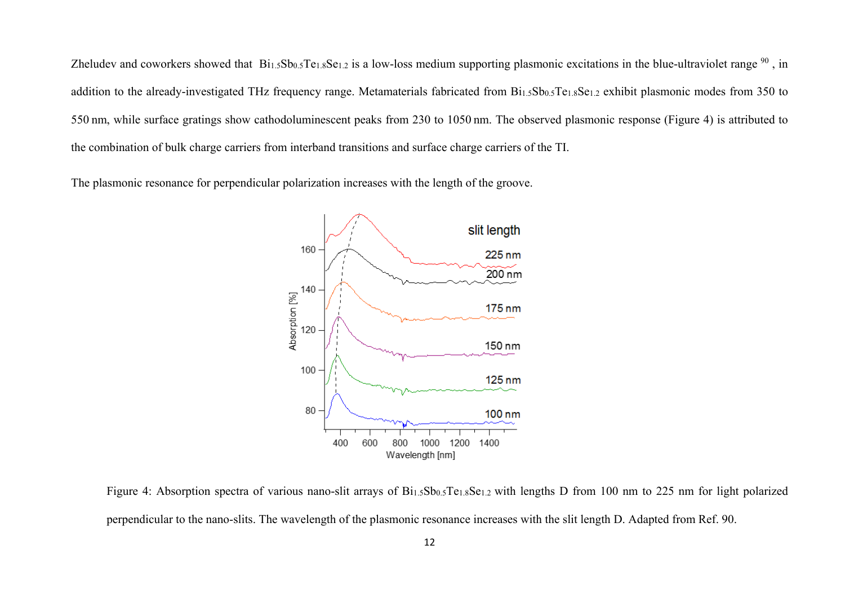Zheludev and coworkers showed that  $Bi_{1.5}Sb_{0.5}Te_{1.8}Se_{1.2}$  is a low-loss medium supporting plasmonic excitations in the blue-ultraviolet range  $90$ , in addition to the already-investigated THz frequency range. Metamaterials fabricated from Bi<sub>1.5</sub>Sb<sub>0.5</sub>Te<sub>1.8</sub>Se<sub>1.2</sub> exhibit plasmonic modes from 350 to 550 nm, while surface gratings show cathodoluminescent peaks from 230 to 1050 nm. The observed plasmonic response (Figure 4) is attributed to the combination of bulk charge carriers from interband transitions and surface charge carriers of the TI.

The plasmonic resonance for perpendicular polarization increases with the length of the groove.



Figure 4: Absorption spectra of various nano-slit arrays of Bi<sub>1.5</sub>Sb<sub>0.5</sub>Te<sub>1.8</sub>Se<sub>1.2</sub> with lengths D from 100 nm to 225 nm for light polarized perpendicular to the nano-slits. The wavelength of the plasmonic resonance increases with the slit length D. Adapted from Ref. 90.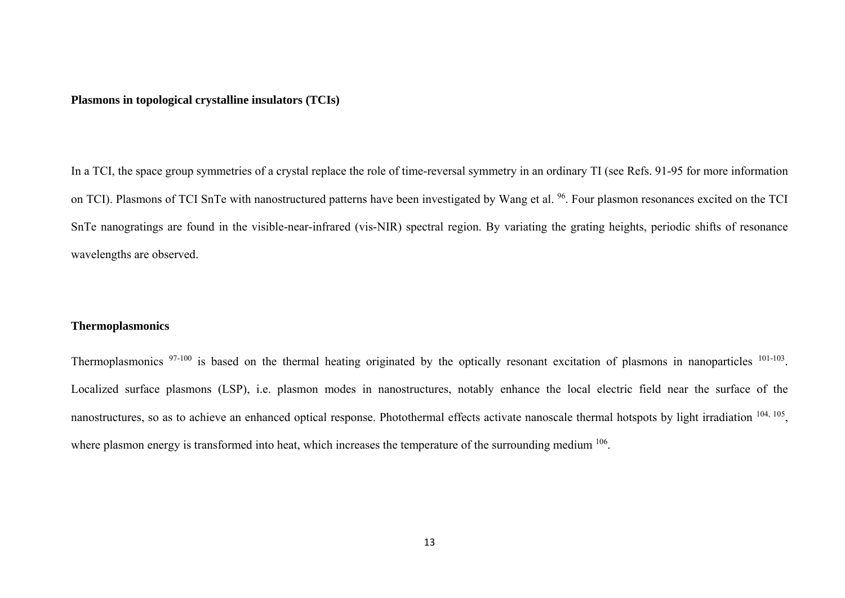#### **Plasmons in topological crystalline insulators (TCIs)**

In a TCI, the space group symmetries of a crystal replace the role of time-reversal symmetry in an ordinary TI (see Refs. 91-95 for more information on TCI). Plasmons of TCI SnTe with nanostructured patterns have been investigated by Wang et al. <sup>96</sup>. Four plasmon resonances excited on the TCI SnTe nanogratings are found in the visible-near-infrared (vis-NIR) spectral region. By variating the grating heights, periodic shifts of resonance wavelengths are observed.

#### **Thermoplasmonics**

Thermoplasmonics <sup>97-100</sup> is based on the thermal heating originated by the optically resonant excitation of plasmons in nanoparticles <sup>101-103</sup>. Localized surface plasmons (LSP), i.e. plasmon modes in nanostructures, notably enhance the local electric field near the surface of the nanostructures, so as to achieve an enhanced optical response. Photothermal effects activate nanoscale thermal hotspots by light irradiation <sup>104, 105</sup>, where plasmon energy is transformed into heat, which increases the temperature of the surrounding medium <sup>106</sup>.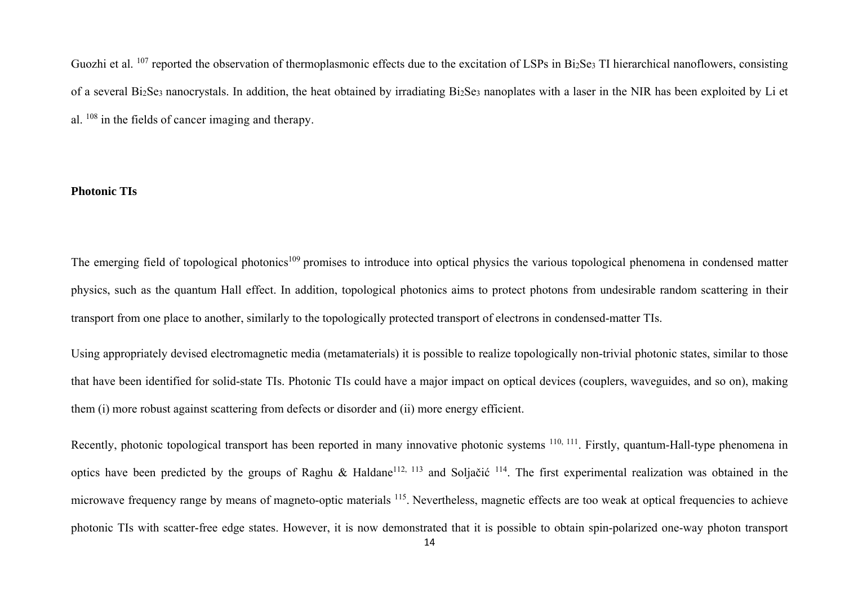Guozhi et al. <sup>107</sup> reported the observation of thermoplasmonic effects due to the excitation of LSPs in Bi2Se3 TI hierarchical nanoflowers, consisting of a several Bi2Se3 nanocrystals. In addition, the heat obtained by irradiating Bi2Se3 nanoplates with a laser in the NIR has been exploited by Li et al. 108 in the fields of cancer imaging and therapy.

#### **Photonic TIs**

The emerging field of topological photonics<sup>109</sup> promises to introduce into optical physics the various topological phenomena in condensed matter physics, such as the quantum Hall effect. In addition, topological photonics aims to protect photons from undesirable random scattering in their transport from one place to another, similarly to the topologically protected transport of electrons in condensed-matter TIs.

Using appropriately devised electromagnetic media (metamaterials) it is possible to realize topologically non-trivial photonic states, similar to those that have been identified for solid-state TIs. Photonic TIs could have a major impact on optical devices (couplers, waveguides, and so on), making them (i) more robust against scattering from defects or disorder and (ii) more energy efficient.

Recently, photonic topological transport has been reported in many innovative photonic systems <sup>110, 111</sup>. Firstly, quantum-Hall-type phenomena in optics have been predicted by the groups of Raghu & Haldane<sup>112, 113</sup> and Soljačić <sup>114</sup>. The first experimental realization was obtained in the microwave frequency range by means of magneto-optic materials <sup>115</sup>. Nevertheless, magnetic effects are too weak at optical frequencies to achieve photonic TIs with scatter-free edge states. However, it is now demonstrated that it is possible to obtain spin-polarized one-way photon transport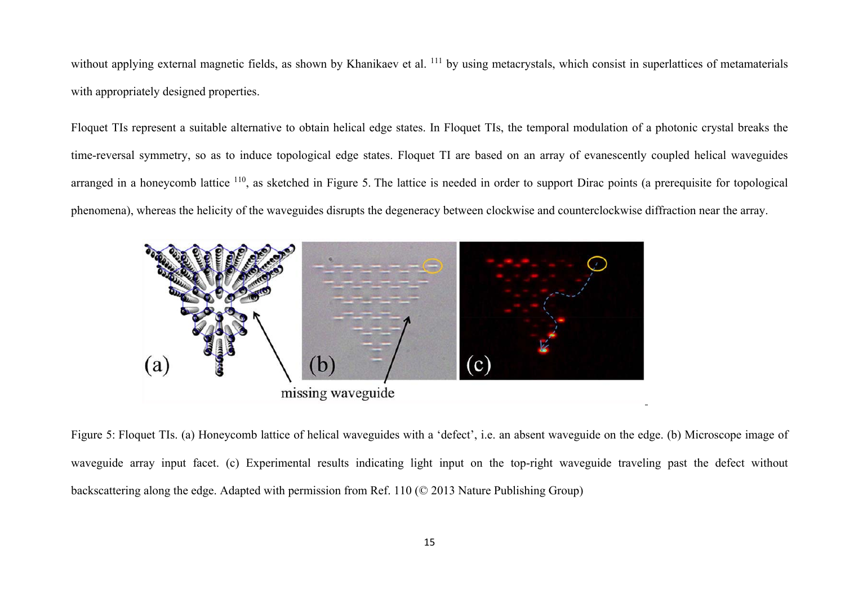without applying external magnetic fields, as shown by Khanikaev et al. <sup>111</sup> by using metacrystals, which consist in superlattices of metamaterials with appropriately designed properties.

Floquet TIs represent a suitable alternative to obtain helical edge states. In Floquet TIs, the temporal modulation of a photonic crystal breaks the time-reversal symmetry, so as to induce topological edge states. Floquet TI are based on an array of evanescently coupled helical waveguides arranged in a honeycomb lattice <sup>110</sup>, as sketched in Figure 5. The lattice is needed in order to support Dirac points (a prerequisite for topological phenomena), whereas the helicity of the waveguides disrupts the degeneracy between clockwise and counterclockwise diffraction near the array.



Figure 5: Floquet TIs. (a) Honeycomb lattice of helical waveguides with a 'defect', i.e. an absent waveguide on the edge. (b) Microscope image of waveguide array input facet. (c) Experimental results indicating light input on the top-right waveguide traveling past the defect without backscattering along the edge. Adapted with permission from Ref. 110 (© 2013 Nature Publishing Group)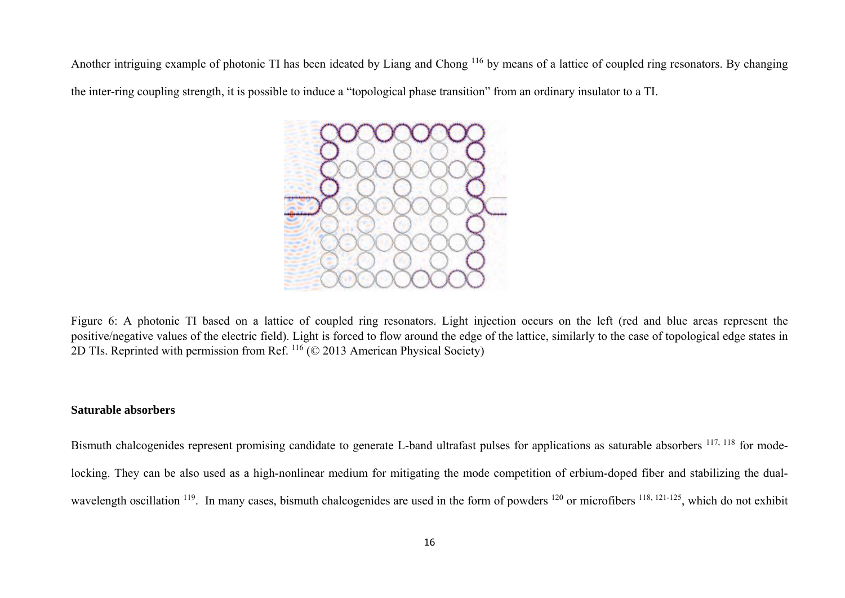Another intriguing example of photonic TI has been ideated by Liang and Chong <sup>116</sup> by means of a lattice of coupled ring resonators. By changing the inter-ring coupling strength, it is possible to induce a "topological phase transition" from an ordinary insulator to a TI.



Figure 6: A photonic TI based on a lattice of coupled ring resonators. Light injection occurs on the left (red and blue areas represent the positive/negative values of the electric field). Light is forced to flow around the edge of the lattice, similarly to the case of topological edge states in 2D TIs. Reprinted with permission from Ref. 116 (© 2013 American Physical Society)

#### **Saturable absorbers**

Bismuth chalcogenides represent promising candidate to generate L-band ultrafast pulses for applications as saturable absorbers <sup>117, 118</sup> for modelocking. They can be also used as a high-nonlinear medium for mitigating the mode competition of erbium-doped fiber and stabilizing the dualwavelength oscillation <sup>119</sup>. In many cases, bismuth chalcogenides are used in the form of powders <sup>120</sup> or microfibers <sup>118, 121-125</sup>, which do not exhibit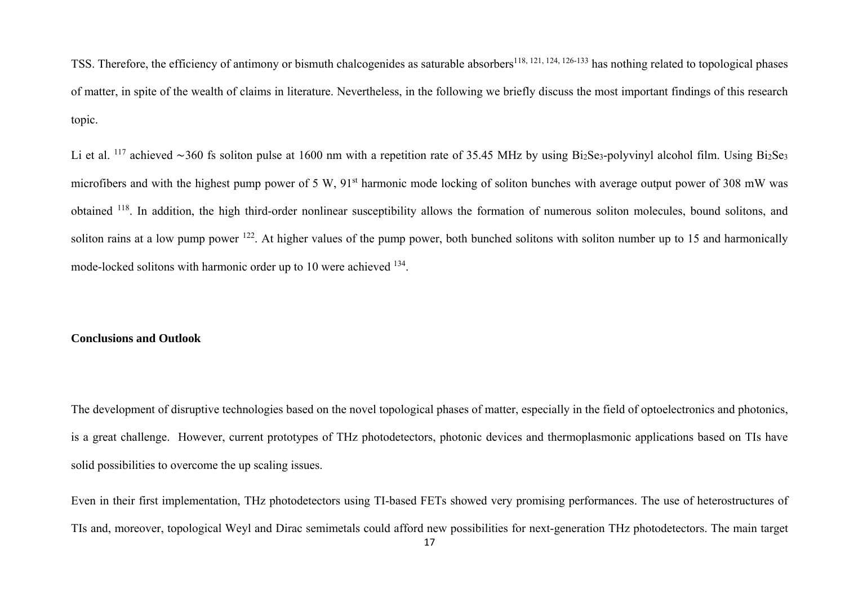TSS. Therefore, the efficiency of antimony or bismuth chalcogenides as saturable absorbers<sup>118, 121, 124, 126-133</sup> has nothing related to topological phases of matter, in spite of the wealth of claims in literature. Nevertheless, in the following we briefly discuss the most important findings of this research topic.

Li et al. 117 achieved ∼360 fs soliton pulse at 1600 nm with a repetition rate of 35.45 MHz by using Bi2Se3-polyvinyl alcohol film. Using Bi2Se3 microfibers and with the highest pump power of 5 W, 91<sup>st</sup> harmonic mode locking of soliton bunches with average output power of 308 mW was obtained 118. In addition, the high third-order nonlinear susceptibility allows the formation of numerous soliton molecules, bound solitons, and soliton rains at a low pump power <sup>122</sup>. At higher values of the pump power, both bunched solitons with soliton number up to 15 and harmonically mode-locked solitons with harmonic order up to 10 were achieved 134.

#### **Conclusions and Outlook**

The development of disruptive technologies based on the novel topological phases of matter, especially in the field of optoelectronics and photonics, is a great challenge. However, current prototypes of THz photodetectors, photonic devices and thermoplasmonic applications based on TIs have solid possibilities to overcome the up scaling issues.

Even in their first implementation, THz photodetectors using TI-based FETs showed very promising performances. The use of heterostructures of TIs and, moreover, topological Weyl and Dirac semimetals could afford new possibilities for next-generation THz photodetectors. The main target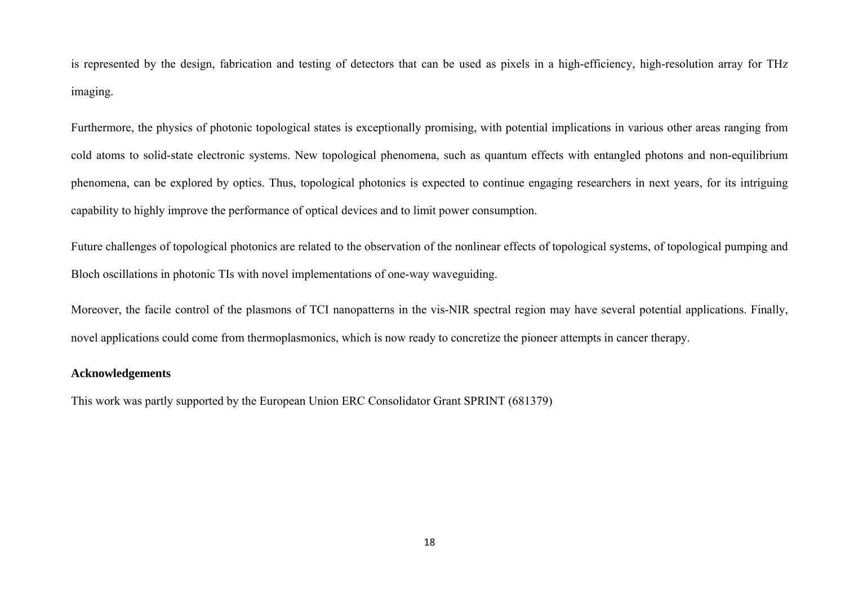is represented by the design, fabrication and testing of detectors that can be used as pixels in a high-efficiency, high-resolution array for THz imaging.

Furthermore, the physics of photonic topological states is exceptionally promising, with potential implications in various other areas ranging from cold atoms to solid-state electronic systems. New topological phenomena, such as quantum effects with entangled photons and non-equilibrium phenomena, can be explored by optics. Thus, topological photonics is expected to continue engaging researchers in next years, for its intriguing capability to highly improve the performance of optical devices and to limit power consumption.

Future challenges of topological photonics are related to the observation of the nonlinear effects of topological systems, of topological pumping and Bloch oscillations in photonic TIs with novel implementations of one-way waveguiding.

Moreover, the facile control of the plasmons of TCI nanopatterns in the vis-NIR spectral region may have several potential applications. Finally, novel applications could come from thermoplasmonics, which is now ready to concretize the pioneer attempts in cancer therapy.

## **Acknowledgements**

This work was partly supported by the European Union ERC Consolidator Grant SPRINT (681379)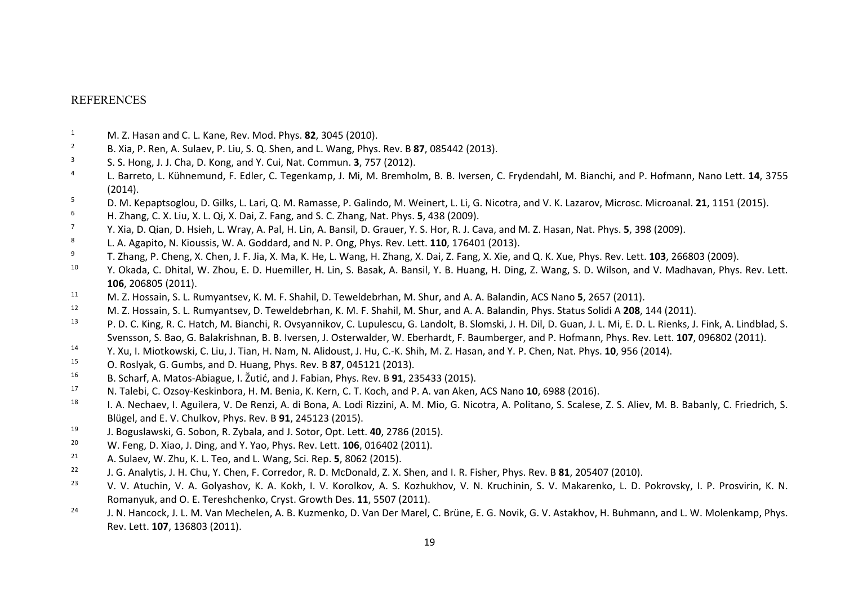#### REFERENCES

- 1M. Z. Hasan and C. L. Kane, Rev. Mod. Phys. **82**, 3045 (2010).
- 2B. Xia, P. Ren, A. Sulaev, P. Liu, S. Q. Shen, and L. Wang, Phys. Rev. B **87**, 085442 (2013).
- 3S. S. Hong, J. J. Cha, D. Kong, and Y. Cui, Nat. Commun. **3**, 757 (2012).
- 4 L. Barreto, L. Kühnemund, F. Edler, C. Tegenkamp, J. Mi, M. Bremholm, B. B. Iversen, C. Frydendahl, M. Bianchi, and P. Hofmann, Nano Lett. **14**, 3755 (2014).
- 5D. M. Kepaptsoglou, D. Gilks, L. Lari, Q. M. Ramasse, P. Galindo, M. Weinert, L. Li, G. Nicotra, and V. K. Lazarov, Microsc. Microanal. **21**, 1151 (2015).
- 6H. Zhang, C. X. Liu, X. L. Qi, X. Dai, Z. Fang, and S. C. Zhang, Nat. Phys. **5**, 438 (2009).
- 7Y. Xia, D. Qian, D. Hsieh, L. Wray, A. Pal, H. Lin, A. Bansil, D. Grauer, Y. S. Hor, R. J. Cava, and M. Z. Hasan, Nat. Phys. **5**, 398 (2009).
- 8L. A. Agapito, N. Kioussis, W. A. Goddard, and N. P. Ong, Phys. Rev. Lett. **110**, 176401 (2013).
- 9T. Zhang, P. Cheng, X. Chen, J. F. Jia, X. Ma, K. He, L. Wang, H. Zhang, X. Dai, Z. Fang, X. Xie, and Q. K. Xue, Phys. Rev. Lett. **103**, 266803 (2009).
- 10 $^0$  Y. Okada, C. Dhital, W. Zhou, E. D. Huemiller, H. Lin, S. Basak, A. Bansil, Y. B. Huang, H. Ding, Z. Wang, S. D. Wilson, and V. Madhavan, Phys. Rev. Lett. **106**, 206805 (2011).
- 11M. Z. Hossain, S. L. Rumyantsev, K. M. F. Shahil, D. Teweldebrhan, M. Shur, and A. A. Balandin, ACS Nano **5**, 2657 (2011).
- 12M. Z. Hossain, S. L. Rumyantsev, D. Teweldebrhan, K. M. F. Shahil, M. Shur, and A. A. Balandin, Phys. Status Solidi A **208**, 144 (2011).
- 13<sup>3</sup> P. D. C. King, R. C. Hatch, M. Bianchi, R. Ovsyannikov, C. Lupulescu, G. Landolt, B. Slomski, J. H. Dil, D. Guan, J. L. Mi, E. D. L. Rienks, J. Fink, A. Lindblad, S. Svensson, S. Bao, G. Balakrishnan, B. B. Iversen, J. Osterwalder, W. Eberhardt, F. Baumberger, and P. Hofmann, Phys. Rev. Lett. **107**, 096802 (2011).
- 14Y. Xu, I. Miotkowski, C. Liu, J. Tian, H. Nam, N. Alidoust, J. Hu, C.‐K. Shih, M. Z. Hasan, and Y. P. Chen, Nat. Phys. **10**, 956 (2014).
- 15O. Roslyak, G. Gumbs, and D. Huang, Phys. Rev. B **87**, 045121 (2013).
- 16B. Scharf, A. Matos‐Abiague, I. Žutić, and J. Fabian, Phys. Rev. <sup>B</sup> **<sup>91</sup>**, <sup>235433</sup> (2015).
- 17N. Talebi, C. Ozsoy‐Keskinbora, H. M. Benia, K. Kern, C. T. Koch, and P. A. van Aken, ACS Nano **10**, 6988 (2016).
- 18 $^8$  I. A. Nechaev, I. Aguilera, V. De Renzi, A. di Bona, A. Lodi Rizzini, A. M. Mio, G. Nicotra, A. Politano, S. Scalese, Z. S. Aliev, M. B. Babanly, C. Friedrich, S. Blügel, and E. V. Chulkov, Phys. Rev. B **91**, 245123 (2015).
- 19J. Boguslawski, G. Sobon, R. Zybala, and J. Sotor, Opt. Lett. **40**, 2786 (2015).
- 20W. Feng, D. Xiao, J. Ding, and Y. Yao, Phys. Rev. Lett. **106**, 016402 (2011).
- 21A. Sulaev, W. Zhu, K. L. Teo, and L. Wang, Sci. Rep. **5**, 8062 (2015).
- 22J. G. Analytis, J. H. Chu, Y. Chen, F. Corredor, R. D. McDonald, Z. X. Shen, and I. R. Fisher, Phys. Rev. B **81**, 205407 (2010).
- 23<sup>3</sup> V. V. Atuchin, V. A. Golyashov, K. A. Kokh, I. V. Korolkov, A. S. Kozhukhov, V. N. Kruchinin, S. V. Makarenko, L. D. Pokrovsky, I. P. Prosvirin, K. N. Romanyuk, and O. E. Tereshchenko, Cryst. Growth Des. **11**, 5507 (2011).
- 24<sup>4</sup> J. N. Hancock, J. L. M. Van Mechelen, A. B. Kuzmenko, D. Van Der Marel, C. Brüne, E. G. Novik, G. V. Astakhov, H. Buhmann, and L. W. Molenkamp, Phys. Rev. Lett. **107**, 136803 (2011).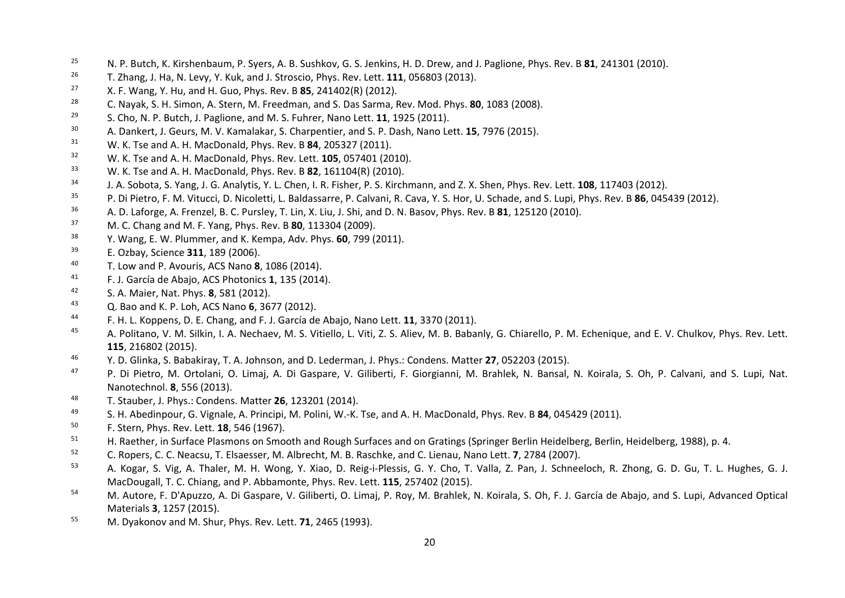- 25N. P. Butch, K. Kirshenbaum, P. Syers, A. B. Sushkov, G. S. Jenkins, H. D. Drew, and J. Paglione, Phys. Rev. B **81**, 241301 (2010).
- 26T. Zhang, J. Ha, N. Levy, Y. Kuk, and J. Stroscio, Phys. Rev. Lett. **111**, 056803 (2013).
- 27X. F. Wang, Y. Hu, and H. Guo, Phys. Rev. B **85**, 241402(R) (2012).
- 28C. Nayak, S. H. Simon, A. Stern, M. Freedman, and S. Das Sarma, Rev. Mod. Phys. **80**, 1083 (2008).
- 29S. Cho, N. P. Butch, J. Paglione, and M. S. Fuhrer, Nano Lett. **11**, 1925 (2011).
- 30A. Dankert, J. Geurs, M. V. Kamalakar, S. Charpentier, and S. P. Dash, Nano Lett. **15**, 7976 (2015).
- 31W. K. Tse and A. H. MacDonald, Phys. Rev. B **84**, 205327 (2011).
- 32W. K. Tse and A. H. MacDonald, Phys. Rev. Lett. **105**, 057401 (2010).
- 33W. K. Tse and A. H. MacDonald, Phys. Rev. B **82**, 161104(R) (2010).
- 34J. A. Sobota, S. Yang, J. G. Analytis, Y. L. Chen, I. R. Fisher, P. S. Kirchmann, and Z. X. Shen, Phys. Rev. Lett. **108**, 117403 (2012).
- 35P. Di Pietro, F. M. Vitucci, D. Nicoletti, L. Baldassarre, P. Calvani, R. Cava, Y. S. Hor, U. Schade, and S. Lupi, Phys. Rev. B **86**, 045439 (2012).
- 36A. D. Laforge, A. Frenzel, B. C. Pursley, T. Lin, X. Liu, J. Shi, and D. N. Basov, Phys. Rev. B **81**, 125120 (2010).
- 37M. C. Chang and M. F. Yang, Phys. Rev. B **80**, 113304 (2009).
- 38Y. Wang, E. W. Plummer, and K. Kempa, Adv. Phys. **60**, 799 (2011).
- 39E. Ozbay, Science **311**, 189 (2006).
- 40T. Low and P. Avouris, ACS Nano **8**, 1086 (2014).
- 41F. J. García de Abajo, ACS Photonics **1**, 135 (2014).
- 42S. A. Maier, Nat. Phys. **8**, 581 (2012).
- 43Q. Bao and K. P. Loh, ACS Nano **6**, 3677 (2012).
- 44F. H. L. Koppens, D. E. Chang, and F. J. García de Abajo, Nano Lett. **11**, 3370 (2011).
- 45 $^5$  A. Politano, V. M. Silkin, I. A. Nechaev, M. S. Vitiello, L. Viti, Z. S. Aliev, M. B. Babanly, G. Chiarello, P. M. Echenique, and E. V. Chulkov, Phys. Rev. Lett. **115**, 216802 (2015).
- 46Y. D. Glinka, S. Babakiray, T. A. Johnson, and D. Lederman, J. Phys.: Condens. Matter **27**, 052203 (2015).
- 47<sup>7</sup> P. Di Pietro, M. Ortolani, O. Limaj, A. Di Gaspare, V. Giliberti, F. Giorgianni, M. Brahlek, N. Bansal, N. Koirala, S. Oh, P. Calvani, and S. Lupi, Nat. Nanotechnol. **8**, 556 (2013).
- 48T. Stauber, J. Phys.: Condens. Matter **26**, 123201 (2014).
- 49S. H. Abedinpour, G. Vignale, A. Principi, M. Polini, W.‐K. Tse, and A. H. MacDonald, Phys. Rev. B **84**, 045429 (2011).
- 50F. Stern, Phys. Rev. Lett. **18**, 546 (1967).
- 51H. Raether, in Surface Plasmons on Smooth and Rough Surfaces and on Gratings (Springer Berlin Heidelberg, Berlin, Heidelberg, 1988), p. 4.
- 52C. Ropers, C. C. Neacsu, T. Elsaesser, M. Albrecht, M. B. Raschke, and C. Lienau, Nano Lett. **7**, 2784 (2007).
- 53<sup>3</sup> A. Kogar, S. Vig, A. Thaler, M. H. Wong, Y. Xiao, D. Reig-i-Plessis, G. Y. Cho, T. Valla, Z. Pan, J. Schneeloch, R. Zhong, G. D. Gu, T. L. Hughes, G. J. MacDougall, T. C. Chiang, and P. Abbamonte, Phys. Rev. Lett. **115**, 257402 (2015).
- 54M. Autore, F. D'Apuzzo, A. Di Gaspare, V. Giliberti, O. Limaj, P. Roy, M. Brahlek, N. Koirala, S. Oh, F. J. García de Abajo, and S. Lupi, Advanced Optical Materials **3**, 1257 (2015).
- 55M. Dyakonov and M. Shur, Phys. Rev. Lett. **71**, 2465 (1993).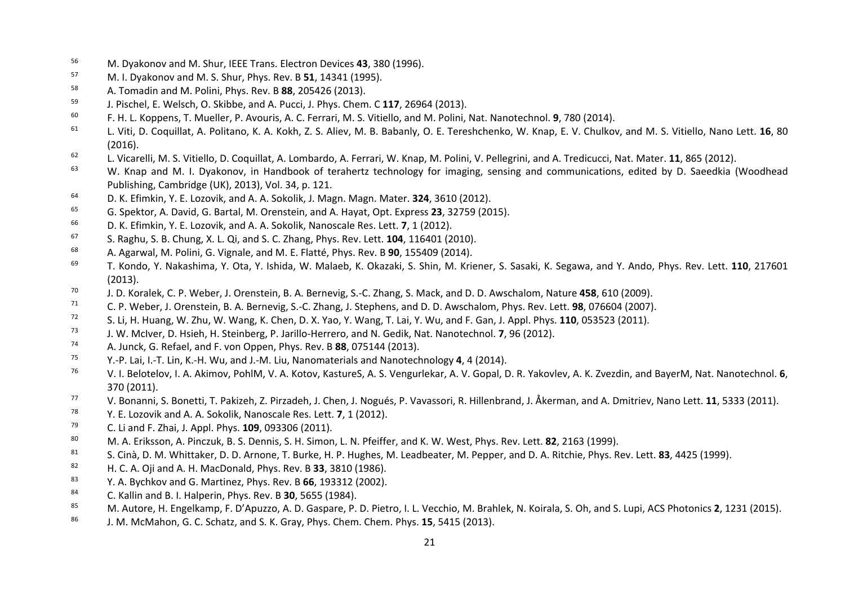- 56M. Dyakonov and M. Shur, IEEE Trans. Electron Devices **43**, 380 (1996).
- 57M. I. Dyakonov and M. S. Shur, Phys. Rev. B **51**, 14341 (1995).
- 58A. Tomadin and M. Polini, Phys. Rev. B **88**, 205426 (2013).
- 59J. Pischel, E. Welsch, O. Skibbe, and A. Pucci, J. Phys. Chem. C **117**, 26964 (2013).
- 60F. H. L. Koppens, T. Mueller, P. Avouris, A. C. Ferrari, M. S. Vitiello, and M. Polini, Nat. Nanotechnol. **9**, 780 (2014).
- 61 L. Viti, D. Coquillat, A. Politano, K. A. Kokh, Z. S. Aliev, M. B. Babanly, O. E. Tereshchenko, W. Knap, E. V. Chulkov, and M. S. Vitiello, Nano Lett. **16**, 80 (2016).
- 62L. Vicarelli, M. S. Vitiello, D. Coquillat, A. Lombardo, A. Ferrari, W. Knap, M. Polini, V. Pellegrini, and A. Tredicucci, Nat. Mater. **11**, 865 (2012).
- 63 $3$  W. Knap and M. I. Dyakonov, in Handbook of terahertz technology for imaging, sensing and communications, edited by D. Saeedkia (Woodhead Publishing, Cambridge (UK), 2013), Vol. 34, p. 121.
- 64D. K. Efimkin, Y. E. Lozovik, and A. A. Sokolik, J. Magn. Magn. Mater. **324**, 3610 (2012).
- 65G. Spektor, A. David, G. Bartal, M. Orenstein, and A. Hayat, Opt. Express **23**, 32759 (2015).
- 66D. K. Efimkin, Y. E. Lozovik, and A. A. Sokolik, Nanoscale Res. Lett. **7**, 1 (2012).
- 67S. Raghu, S. B. Chung, X. L. Qi, and S. C. Zhang, Phys. Rev. Lett. **104**, 116401 (2010).
- 68A. Agarwal, M. Polini, G. Vignale, and M. E. Flatté, Phys. Rev. B **90**, 155409 (2014).
- 69 T. Kondo, Y. Nakashima, Y. Ota, Y. Ishida, W. Malaeb, K. Okazaki, S. Shin, M. Kriener, S. Sasaki, K. Segawa, and Y. Ando, Phys. Rev. Lett. **110**, 217601 (2013).
- 70J. D. Koralek, C. P. Weber, J. Orenstein, B. A. Bernevig, S.‐C. Zhang, S. Mack, and D. D. Awschalom, Nature **458**, 610 (2009).
- 71C. P. Weber, J. Orenstein, B. A. Bernevig, S.‐C. Zhang, J. Stephens, and D. D. Awschalom, Phys. Rev. Lett. **98**, 076604 (2007).
- 72S. Li, H. Huang, W. Zhu, W. Wang, K. Chen, D. X. Yao, Y. Wang, T. Lai, Y. Wu, and F. Gan, J. Appl. Phys. **110**, 053523 (2011).
- 73J. W. McIver, D. Hsieh, H. Steinberg, P. Jarillo‐Herrero, and N. Gedik, Nat. Nanotechnol. **7**, 96 (2012).
- 74A. Junck, G. Refael, and F. von Oppen, Phys. Rev. B **88**, 075144 (2013).
- 75Y.‐P. Lai, I.‐T. Lin, K.‐H. Wu, and J.‐M. Liu, Nanomaterials and Nanotechnology **4**, 4 (2014).
- 76 V. I. Belotelov, I. A. Akimov, PohlM, V. A. Kotov, KastureS, A. S. Vengurlekar, A. V. Gopal, D. R. Yakovlev, A. K. Zvezdin, and BayerM, Nat. Nanotechnol. **6**, 370 (2011).
- 77V. Bonanni, S. Bonetti, T. Pakizeh, Z. Pirzadeh, J. Chen, J. Nogués, P. Vavassori, R. Hillenbrand, J. Åkerman, and A. Dmitriev, Nano Lett. **<sup>11</sup>**, <sup>5333</sup> (2011).
- 78Y. E. Lozovik and A. A. Sokolik, Nanoscale Res. Lett. **7**, 1 (2012).
- 79C. Li and F. Zhai, J. Appl. Phys. **109**, 093306 (2011).
- 80M. A. Eriksson, A. Pinczuk, B. S. Dennis, S. H. Simon, L. N. Pfeiffer, and K. W. West, Phys. Rev. Lett. **82**, 2163 (1999).
- 81S. Cinà, D. M. Whittaker, D. D. Arnone, T. Burke, H. P. Hughes, M. Leadbeater, M. Pepper, and D. A. Ritchie, Phys. Rev. Lett. **83**, 4425 (1999).
- 82H. C. A. Oji and A. H. MacDonald, Phys. Rev. B **33**, 3810 (1986).
- 83Y. A. Bychkov and G. Martinez, Phys. Rev. B **66**, 193312 (2002).
- 84C. Kallin and B. I. Halperin, Phys. Rev. B **30**, 5655 (1984).
- 85M. Autore, H. Engelkamp, F. D'Apuzzo, A. D. Gaspare, P. D. Pietro, I. L. Vecchio, M. Brahlek, N. Koirala, S. Oh, and S. Lupi, ACS Photonics **2**, 1231 (2015).
- 86J. M. McMahon, G. C. Schatz, and S. K. Gray, Phys. Chem. Chem. Phys. **15**, 5415 (2013).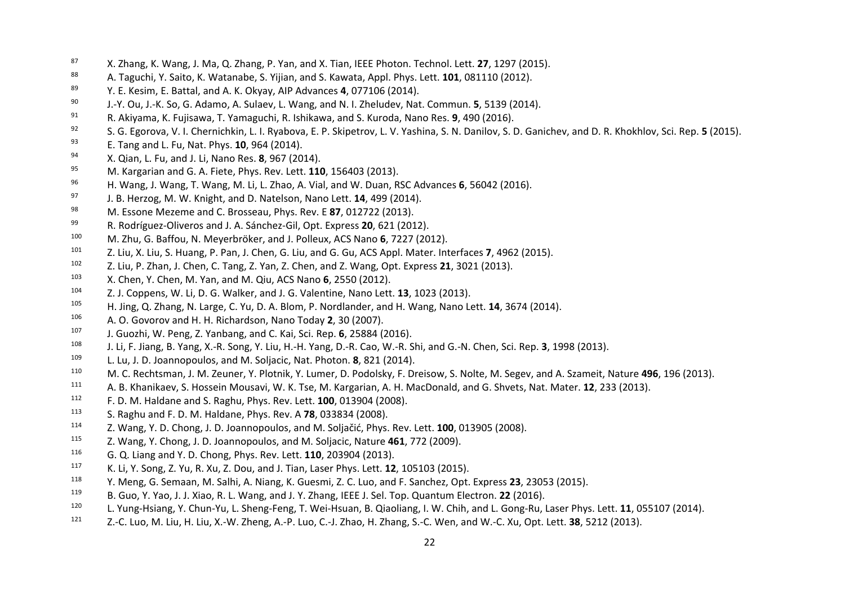- 87X. Zhang, K. Wang, J. Ma, Q. Zhang, P. Yan, and X. Tian, IEEE Photon. Technol. Lett. **27**, 1297 (2015).
- 88A. Taguchi, Y. Saito, K. Watanabe, S. Yijian, and S. Kawata, Appl. Phys. Lett. **101**, 081110 (2012).
- 89Y. E. Kesim, E. Battal, and A. K. Okyay, AIP Advances **4**, 077106 (2014).
- 90J.‐Y. Ou, J.‐K. So, G. Adamo, A. Sulaev, L. Wang, and N. I. Zheludev, Nat. Commun. **5**, 5139 (2014).
- 91R. Akiyama, K. Fujisawa, T. Yamaguchi, R. Ishikawa, and S. Kuroda, Nano Res. **9**, 490 (2016).
- 92S. G. Egorova, V. I. Chernichkin, L. I. Ryabova, E. P. Skipetrov, L. V. Yashina, S. N. Danilov, S. D. Ganichev, and D. R. Khokhlov, Sci. Rep. **5** (2015).
- 93E. Tang and L. Fu, Nat. Phys. **10**, 964 (2014).
- 94X. Qian, L. Fu, and J. Li, Nano Res. **8**, 967 (2014).
- 95M. Kargarian and G. A. Fiete, Phys. Rev. Lett. **110**, 156403 (2013).
- 96H. Wang, J. Wang, T. Wang, M. Li, L. Zhao, A. Vial, and W. Duan, RSC Advances **6**, 56042 (2016).
- 97J. B. Herzog, M. W. Knight, and D. Natelson, Nano Lett. **14**, 499 (2014).
- 98M. Essone Mezeme and C. Brosseau, Phys. Rev. E **87**, 012722 (2013).
- 99R. Rodríguez‐Oliveros and J. A. Sánchez‐Gil, Opt. Express **20**, 621 (2012).
- 100M. Zhu, G. Baffou, N. Meyerbröker, and J. Polleux, ACS Nano **6**, 7227 (2012).
- 101Z. Liu, X. Liu, S. Huang, P. Pan, J. Chen, G. Liu, and G. Gu, ACS Appl. Mater. Interfaces **7**, 4962 (2015).
- 102Z. Liu, P. Zhan, J. Chen, C. Tang, Z. Yan, Z. Chen, and Z. Wang, Opt. Express **21**, 3021 (2013).
- 103X. Chen, Y. Chen, M. Yan, and M. Qiu, ACS Nano **6**, 2550 (2012).
- 104Z. J. Coppens, W. Li, D. G. Walker, and J. G. Valentine, Nano Lett. **13**, 1023 (2013).
- 105H. Jing, Q. Zhang, N. Large, C. Yu, D. A. Blom, P. Nordlander, and H. Wang, Nano Lett. **14**, 3674 (2014).
- 106A. O. Govorov and H. H. Richardson, Nano Today **2**, 30 (2007).
- 107J. Guozhi, W. Peng, Z. Yanbang, and C. Kai, Sci. Rep. **6**, 25884 (2016).
- 108J. Li, F. Jiang, B. Yang, X.‐R. Song, Y. Liu, H.‐H. Yang, D.‐R. Cao, W.‐R. Shi, and G.‐N. Chen, Sci. Rep. **3**, 1998 (2013).
- 109L. Lu, J. D. Joannopoulos, and M. Soljacic, Nat. Photon. **8**, 821 (2014).
- 110M. C. Rechtsman, J. M. Zeuner, Y. Plotnik, Y. Lumer, D. Podolsky, F. Dreisow, S. Nolte, M. Segev, and A. Szameit, Nature **496**, 196 (2013).
- 111A. B. Khanikaev, S. Hossein Mousavi, W. K. Tse, M. Kargarian, A. H. MacDonald, and G. Shvets, Nat. Mater. **12**, 233 (2013).
- 112F. D. M. Haldane and S. Raghu, Phys. Rev. Lett. **100**, 013904 (2008).
- 113S. Raghu and F. D. M. Haldane, Phys. Rev. A **78**, 033834 (2008).
- 114Z. Wang, Y. D. Chong, J. D. Joannopoulos, and M. Soljačić, Phys. Rev. Lett. **100**, 013905 (2008).
- 115<sup>5</sup> Z. Wang, Y. Chong, J. D. Joannopoulos, and M. Soljacic, Nature 461, 772 (2009).
- 116G. Q. Liang and Y. D. Chong, Phys. Rev. Lett. **110**, 203904 (2013).
- 117K. Li, Y. Song, Z. Yu, R. Xu, Z. Dou, and J. Tian, Laser Phys. Lett. **12**, 105103 (2015).
- 118Y. Meng, G. Semaan, M. Salhi, A. Niang, K. Guesmi, Z. C. Luo, and F. Sanchez, Opt. Express **23**, 23053 (2015).
- 119B. Guo, Y. Yao, J. J. Xiao, R. L. Wang, and J. Y. Zhang, IEEE J. Sel. Top. Quantum Electron. **22** (2016).
- 120L. Yung‐Hsiang, Y. Chun‐Yu, L. Sheng‐Feng, T. Wei‐Hsuan, B. Qiaoliang, I. W. Chih, and L. Gong‐Ru, Laser Phys. Lett. **11**, 055107 (2014).
- 121Z.‐C. Luo, M. Liu, H. Liu, X.‐W. Zheng, A.‐P. Luo, C.‐J. Zhao, H. Zhang, S.‐C. Wen, and W.‐C. Xu, Opt. Lett. **38**, 5212 (2013).